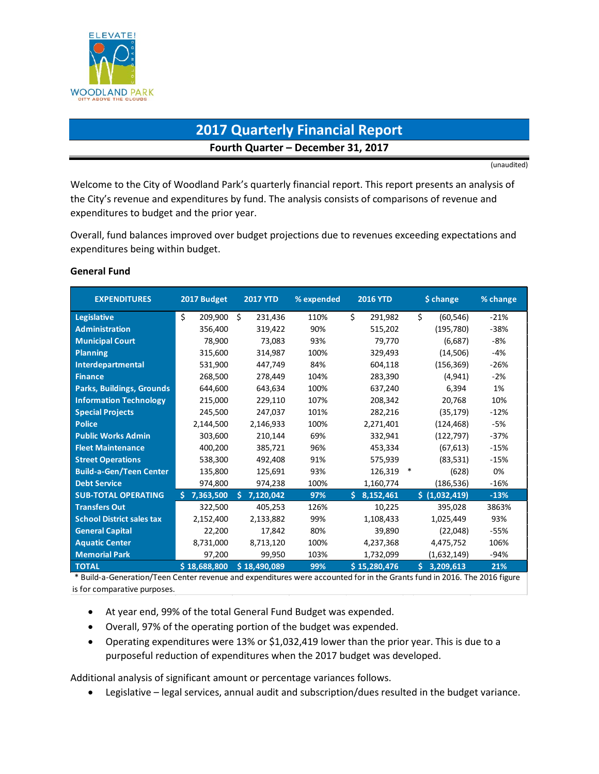

# **2017 Quarterly Financial Report Fourth Quarter – December 31, 2017**

(unaudited)

Welcome to the City of Woodland Park's quarterly financial report. This report presents an analysis of the City's revenue and expenditures by fund. The analysis consists of comparisons of revenue and expenditures to budget and the prior year.

Overall, fund balances improved over budget projections due to revenues exceeding expectations and expenditures being within budget.

#### **General Fund**

| <b>EXPENDITURES</b>                                                                                                                      | 2017 Budget   | <b>2017 YTD</b> | % expended | <b>2016 YTD</b> | \$ change       | % change |
|------------------------------------------------------------------------------------------------------------------------------------------|---------------|-----------------|------------|-----------------|-----------------|----------|
| <b>Legislative</b>                                                                                                                       | \$<br>209,900 | Ŝ.<br>231,436   | 110%       | \$<br>291,982   | Ś.<br>(60, 546) | $-21%$   |
| <b>Administration</b>                                                                                                                    | 356,400       | 319,422         | 90%        | 515,202         | (195, 780)      | $-38%$   |
| <b>Municipal Court</b>                                                                                                                   | 78,900        | 73,083          | 93%        | 79,770          | (6,687)         | $-8%$    |
| <b>Planning</b>                                                                                                                          | 315,600       | 314,987         | 100%       | 329,493         | (14,506)        | $-4%$    |
| Interdepartmental                                                                                                                        | 531,900       | 447,749         | 84%        | 604,118         | (156, 369)      | $-26%$   |
| <b>Finance</b>                                                                                                                           | 268,500       | 278.449         | 104%       | 283,390         | (4, 941)        | $-2%$    |
| <b>Parks, Buildings, Grounds</b>                                                                                                         | 644,600       | 643,634         | 100%       | 637,240         | 6,394           | 1%       |
| <b>Information Technology</b>                                                                                                            | 215,000       | 229,110         | 107%       | 208,342         | 20,768          | 10%      |
| <b>Special Projects</b>                                                                                                                  | 245,500       | 247,037         | 101%       | 282,216         | (35, 179)       | $-12%$   |
| <b>Police</b>                                                                                                                            | 2,144,500     | 2,146,933       | 100%       | 2,271,401       | (124, 468)      | -5%      |
| <b>Public Works Admin</b>                                                                                                                | 303,600       | 210,144         | 69%        | 332,941         | (122, 797)      | $-37%$   |
| <b>Fleet Maintenance</b>                                                                                                                 | 400,200       | 385,721         | 96%        | 453,334         | (67, 613)       | $-15%$   |
| <b>Street Operations</b>                                                                                                                 | 538,300       | 492,408         | 91%        | 575,939         | (83,531)        | $-15%$   |
| <b>Build-a-Gen/Teen Center</b>                                                                                                           | 135,800       | 125,691         | 93%        | 126,319         | ∗<br>(628)      | 0%       |
| <b>Debt Service</b>                                                                                                                      | 974,800       | 974,238         | 100%       | 1,160,774       | (186, 536)      | $-16%$   |
| <b>SUB-TOTAL OPERATING</b>                                                                                                               | 7,363,500     | 7,120,042<br>Ś  | 97%        | 8,152,461<br>Ś. | \$ (1,032,419)  | $-13%$   |
| <b>Transfers Out</b>                                                                                                                     | 322,500       | 405,253         | 126%       | 10,225          | 395,028         | 3863%    |
| <b>School District sales tax</b>                                                                                                         | 2,152,400     | 2,133,882       | 99%        | 1,108,433       | 1,025,449       | 93%      |
| <b>General Capital</b>                                                                                                                   | 22,200        | 17,842          | 80%        | 39,890          | (22,048)        | $-55%$   |
| <b>Aquatic Center</b>                                                                                                                    | 8,731,000     | 8,713,120       | 100%       | 4,237,368       | 4,475,752       | 106%     |
| <b>Memorial Park</b>                                                                                                                     | 97,200        | 99,950          | 103%       | 1,732,099       | (1,632,149)     | $-94%$   |
| <b>TOTAL</b><br>* Puild a Conoration/Toon Contar rovanue and evpenditures were asseunted for in the Crants fund in 2016. The 2016 figure | \$18,688,800  | \$18,490,089    | 99%        | \$15,280,476    | Ś.<br>3,209,613 | 21%      |

Build-a-Generation/Teen Center revenue and expenditures were accounted for in the Grants fund in 2016. The 2016 figure is for comparative purposes.

- At year end, 99% of the total General Fund Budget was expended.
- Overall, 97% of the operating portion of the budget was expended.
- Operating expenditures were 13% or \$1,032,419 lower than the prior year. This is due to a purposeful reduction of expenditures when the 2017 budget was developed.

Additional analysis of significant amount or percentage variances follows.

• Legislative – legal services, annual audit and subscription/dues resulted in the budget variance.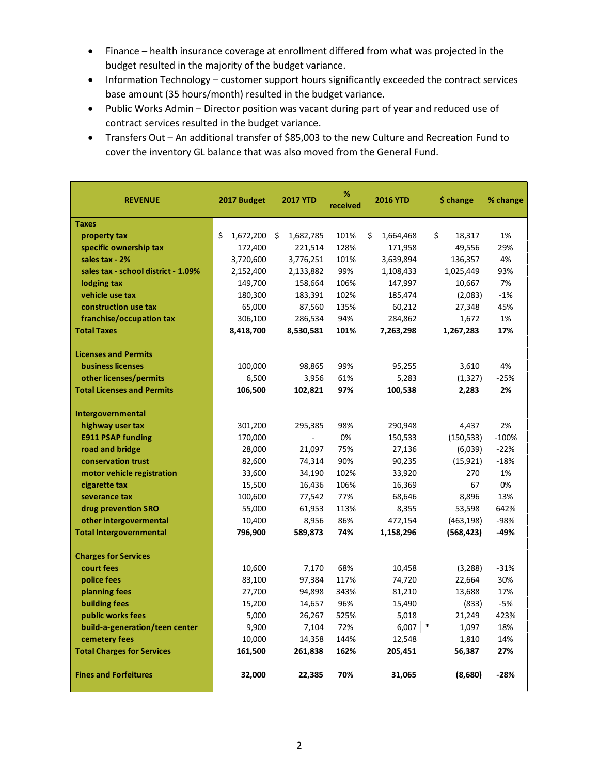- Finance health insurance coverage at enrollment differed from what was projected in the budget resulted in the majority of the budget variance.
- Information Technology customer support hours significantly exceeded the contract services base amount (35 hours/month) resulted in the budget variance.
- Public Works Admin Director position was vacant during part of year and reduced use of contract services resulted in the budget variance.
- Transfers Out An additional transfer of \$85,003 to the new Culture and Recreation Fund to cover the inventory GL balance that was also moved from the General Fund.

| <b>REVENUE</b>                      | 2017 Budget          | <b>2017 YTD</b> | %<br>received | <b>2016 YTD</b> | \$ change    | % change |
|-------------------------------------|----------------------|-----------------|---------------|-----------------|--------------|----------|
| <b>Taxes</b>                        |                      |                 |               |                 |              |          |
| property tax                        | \$<br>$1,672,200$ \$ | 1,682,785       | 101%          | \$<br>1,664,468 | \$<br>18,317 | 1%       |
| specific ownership tax              | 172,400              | 221,514         | 128%          | 171,958         | 49,556       | 29%      |
| sales tax - 2%                      | 3,720,600            | 3,776,251       | 101%          | 3,639,894       | 136,357      | 4%       |
| sales tax - school district - 1.09% | 2,152,400            | 2,133,882       | 99%           | 1,108,433       | 1,025,449    | 93%      |
| lodging tax                         | 149,700              | 158,664         | 106%          | 147,997         | 10,667       | 7%       |
| vehicle use tax                     | 180,300              | 183,391         | 102%          | 185,474         | (2,083)      | $-1%$    |
| construction use tax                | 65,000               | 87,560          | 135%          | 60,212          | 27,348       | 45%      |
| franchise/occupation tax            | 306,100              | 286,534         | 94%           | 284,862         | 1,672        | 1%       |
| <b>Total Taxes</b>                  | 8,418,700            | 8,530,581       | 101%          | 7,263,298       | 1,267,283    | 17%      |
| <b>Licenses and Permits</b>         |                      |                 |               |                 |              |          |
| <b>business licenses</b>            | 100,000              | 98,865          | 99%           | 95,255          | 3,610        | 4%       |
| other licenses/permits              | 6,500                | 3,956           | 61%           | 5,283           | (1, 327)     | $-25%$   |
| <b>Total Licenses and Permits</b>   | 106,500              | 102,821         | 97%           | 100,538         | 2,283        | 2%       |
| Intergovernmental                   |                      |                 |               |                 |              |          |
| highway user tax                    | 301,200              | 295,385         | 98%           | 290,948         | 4,437        | 2%       |
| <b>E911 PSAP funding</b>            | 170,000              |                 | 0%            | 150,533         | (150, 533)   | $-100%$  |
| road and bridge                     | 28,000               | 21,097          | 75%           | 27,136          | (6,039)      | $-22%$   |
| conservation trust                  | 82,600               | 74,314          | 90%           | 90,235          | (15, 921)    | $-18%$   |
| motor vehicle registration          | 33,600               | 34,190          | 102%          | 33,920          | 270          | 1%       |
| cigarette tax                       | 15,500               | 16,436          | 106%          | 16,369          | 67           | 0%       |
| severance tax                       | 100,600              | 77,542          | 77%           | 68,646          | 8,896        | 13%      |
| drug prevention SRO                 | 55,000               | 61,953          | 113%          | 8,355           | 53,598       | 642%     |
| other intergovermental              | 10,400               | 8,956           | 86%           | 472,154         | (463, 198)   | $-98%$   |
| <b>Total Intergovernmental</b>      | 796,900              | 589,873         | 74%           | 1,158,296       | (568, 423)   | -49%     |
| <b>Charges for Services</b>         |                      |                 |               |                 |              |          |
| court fees                          | 10,600               | 7,170           | 68%           | 10,458          | (3,288)      | $-31%$   |
| police fees                         | 83,100               | 97,384          | 117%          | 74,720          | 22,664       | 30%      |
| planning fees                       | 27,700               | 94,898          | 343%          | 81,210          | 13,688       | 17%      |
| building fees                       | 15,200               | 14,657          | 96%           | 15,490          | (833)        | $-5%$    |
| public works fees                   | 5,000                | 26,267          | 525%          | 5,018           | 21,249       | 423%     |
| build-a-generation/teen center      | 9,900                | 7,104           | 72%           | $6,007$ *       | 1,097        | 18%      |
| cemetery fees                       | 10,000               | 14,358          | 144%          | 12,548          | 1,810        | 14%      |
| <b>Total Charges for Services</b>   | 161,500              | 261,838         | 162%          | 205,451         | 56,387       | 27%      |
| <b>Fines and Forfeitures</b>        | 32,000               | 22,385          | 70%           | 31,065          | (8,680)      | $-28%$   |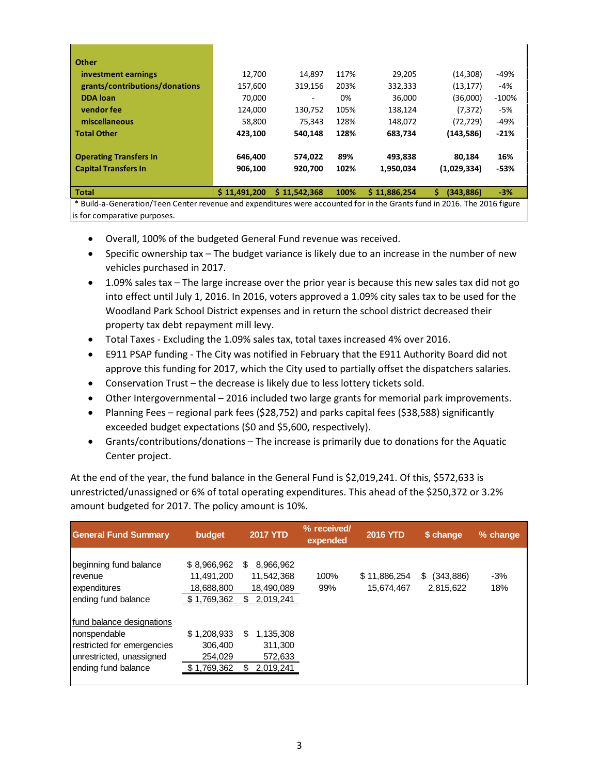| l Other                        |              |              |      |              |                |         |
|--------------------------------|--------------|--------------|------|--------------|----------------|---------|
| investment earnings            | 12,700       | 14.897       | 117% | 29.205       | (14, 308)      | -49%    |
| grants/contributions/donations | 157,600      | 319.156      | 203% | 332,333      | (13, 177)      | $-4%$   |
| <b>DDA</b> loan                | 70,000       | -            | 0%   | 36.000       | (36,000)       | $-100%$ |
| vendor fee                     | 124,000      | 130,752      | 105% | 138,124      | (7, 372)       | $-5%$   |
| miscellaneous                  | 58,800       | 75,343       | 128% | 148,072      | (72, 729)      | $-49%$  |
| Total Other                    | 423,100      | 540.148      | 128% | 683,734      | (143, 586)     | $-21%$  |
| <b>Operating Transfers In</b>  | 646.400      | 574.022      | 89%  | 493.838      | 80.184         | 16%     |
|                                |              |              |      |              |                |         |
| <b>Capital Transfers In</b>    | 906.100      | 920.700      | 102% | 1.950.034    | (1,029,334)    | -53%    |
|                                |              |              |      |              |                |         |
| Total                          | \$11.491.200 | \$11,542,368 | 100% | \$11,886,254 | Ś<br>(343.886) | $-3%$   |

 \* Build-a-Generation/Teen Center revenue and expenditures were accounted for in the Grants fund in 2016. The 2016 figure is for comparative purposes.

- Overall, 100% of the budgeted General Fund revenue was received.
- Specific ownership tax The budget variance is likely due to an increase in the number of new vehicles purchased in 2017.
- 1.09% sales tax The large increase over the prior year is because this new sales tax did not go into effect until July 1, 2016. In 2016, voters approved a 1.09% city sales tax to be used for the Woodland Park School District expenses and in return the school district decreased their property tax debt repayment mill levy.
- Total Taxes Excluding the 1.09% sales tax, total taxes increased 4% over 2016.
- E911 PSAP funding The City was notified in February that the E911 Authority Board did not approve this funding for 2017, which the City used to partially offset the dispatchers salaries.
- Conservation Trust the decrease is likely due to less lottery tickets sold.
- Other Intergovernmental 2016 included two large grants for memorial park improvements.
- Planning Fees regional park fees (\$28,752) and parks capital fees (\$38,588) significantly exceeded budget expectations (\$0 and \$5,600, respectively).
- Grants/contributions/donations The increase is primarily due to donations for the Aquatic Center project.

At the end of the year, the fund balance in the General Fund is \$2,019,241. Of this, \$572,633 is unrestricted/unassigned or 6% of total operating expenditures. This ahead of the \$250,372 or 3.2% amount budgeted for 2017. The policy amount is 10%.

| <b>General Fund Summary</b>                                                                                                 | budget                                                 | <b>2017 YTD</b>                                          | % received/<br>expended | <b>2016 YTD</b>            | \$ change                    | % change     |
|-----------------------------------------------------------------------------------------------------------------------------|--------------------------------------------------------|----------------------------------------------------------|-------------------------|----------------------------|------------------------------|--------------|
| beginning fund balance<br>revenue<br>expenditures<br>ending fund balance                                                    | \$8,966,962<br>11.491.200<br>18,688,800<br>\$1,769,362 | 8,966,962<br>S.<br>11,542,368<br>18,490,089<br>2,019,241 | 100%<br>99%             | \$11,886,254<br>15,674,467 | (343,886)<br>S.<br>2,815,622 | $-3%$<br>18% |
| Ifund balance designations<br>nonspendable<br>restricted for emergencies<br>unrestricted, unassigned<br>ending fund balance | \$1,208,933<br>306,400<br>254,029<br>1,769,362         | \$<br>1,135,308<br>311.300<br>572,633<br>2,019,241       |                         |                            |                              |              |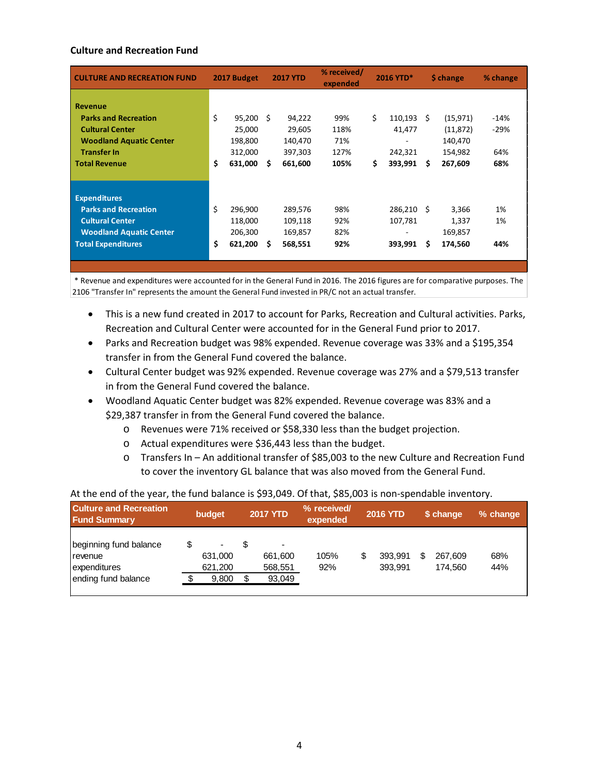## **Culture and Recreation Fund**

| <b>CULTURE AND RECREATION FUND</b>                       | 2017 Budget              |    | <b>2017 YTD</b>    | % received/<br>expended | 2016 YTD*                |    | \$ change            | % change   |
|----------------------------------------------------------|--------------------------|----|--------------------|-------------------------|--------------------------|----|----------------------|------------|
| <b>Revenue</b><br><b>Parks and Recreation</b>            | \$<br>95,200             | -Ś | 94,222             | 99%                     | \$<br>110,193            | -S | (15, 971)            | $-14%$     |
| <b>Cultural Center</b><br><b>Woodland Aquatic Center</b> | 25,000<br>198,800        |    | 29,605<br>140,470  | 118%<br>71%             | 41,477                   |    | (11, 872)<br>140,470 | $-29%$     |
| <b>Transfer In</b><br>Total Revenue                      | \$<br>312,000<br>631,000 | S  | 397,303<br>661,600 | 127%<br>105%            | \$<br>242,321<br>393,991 | Ŝ. | 154,982<br>267,609   | 64%<br>68% |
|                                                          |                          |    |                    |                         |                          |    |                      |            |
| <b>Expenditures</b>                                      |                          |    |                    |                         |                          |    |                      |            |
| <b>Parks and Recreation</b>                              | \$<br>296,900            |    | 289,576            | 98%                     | 286,210 \$               |    | 3,366                | 1%         |
| <b>Cultural Center</b>                                   | 118,000                  |    | 109,118            | 92%                     | 107,781                  |    | 1,337                | 1%         |
| <b>Woodland Aquatic Center</b>                           | 206,300                  |    | 169,857            | 82%                     |                          |    | 169,857              |            |
| <b>Total Expenditures</b>                                | \$<br>621,200            | S  | 568,551            | 92%                     | 393,991                  | S  | 174,560              | 44%        |
|                                                          |                          |    |                    |                         |                          |    |                      |            |

 \* Revenue and expenditures were accounted for in the General Fund in 2016. The 2016 figures are for comparative purposes. The 2106 "Transfer In" represents the amount the General Fund invested in PR/C not an actual transfer.

- This is a new fund created in 2017 to account for Parks, Recreation and Cultural activities. Parks, Recreation and Cultural Center were accounted for in the General Fund prior to 2017.
- Parks and Recreation budget was 98% expended. Revenue coverage was 33% and a \$195,354 transfer in from the General Fund covered the balance.
- Cultural Center budget was 92% expended. Revenue coverage was 27% and a \$79,513 transfer in from the General Fund covered the balance.
- Woodland Aquatic Center budget was 82% expended. Revenue coverage was 83% and a \$29,387 transfer in from the General Fund covered the balance.
	- o Revenues were 71% received or \$58,330 less than the budget projection.
	- o Actual expenditures were \$36,443 less than the budget.
	- o Transfers In An additional transfer of \$85,003 to the new Culture and Recreation Fund to cover the inventory GL balance that was also moved from the General Fund.

| <b>Culture and Recreation</b><br><b>Fund Summary</b>       | budget             | <b>2017 YTD</b> |                                                | % received/<br>expended |   | <b>2016 YTD</b>    |   | \$ change          | % change   |
|------------------------------------------------------------|--------------------|-----------------|------------------------------------------------|-------------------------|---|--------------------|---|--------------------|------------|
| beginning fund balance<br><b>I</b> revenue<br>expenditures | 631,000<br>621.200 |                 | $\overline{\phantom{0}}$<br>661.600<br>568,551 | 105%<br>92%             | S | 393.991<br>393.991 | S | 267.609<br>174.560 | 68%<br>44% |
| ending fund balance                                        | 9,800              |                 | 93,049                                         |                         |   |                    |   |                    |            |

#### At the end of the year, the fund balance is \$93,049. Of that, \$85,003 is non-spendable inventory.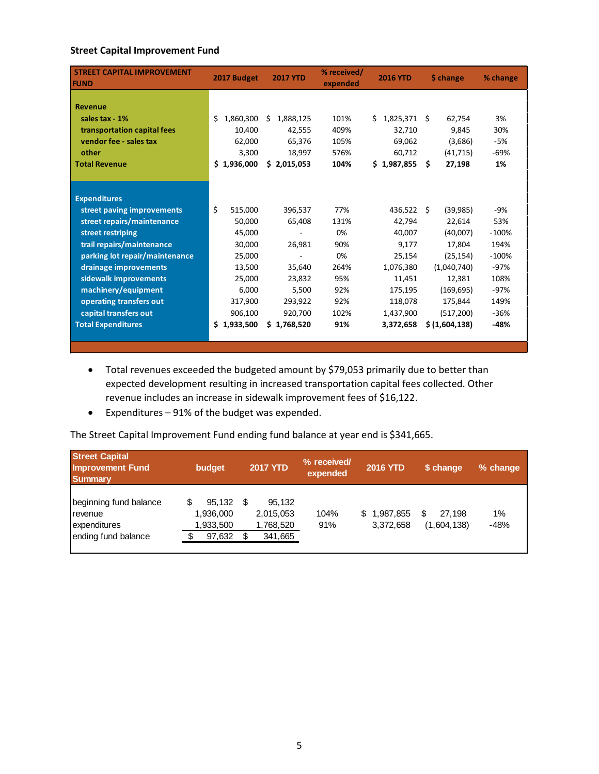## **Street Capital Improvement Fund**

| <b>STREET CAPITAL IMPROVEMENT</b><br><b>FUND</b> | 2017 Budget      | <b>2017 YTD</b> | % received/<br><b>2016 YTD</b><br>expended |                 | \$ change     | % change |
|--------------------------------------------------|------------------|-----------------|--------------------------------------------|-----------------|---------------|----------|
|                                                  |                  |                 |                                            |                 |               |          |
| <b>Revenue</b>                                   |                  |                 |                                            |                 |               |          |
| sales tax - 1%                                   | Ś.<br>1,860,300  | Ś<br>1,888,125  | 101%                                       | 1,825,371<br>Ś. | 62,754<br>S.  | 3%       |
| transportation capital fees                      | 10,400           | 42,555          | 409%                                       | 32,710          | 9,845         | 30%      |
| vendor fee - sales tax                           | 62,000           | 65,376          | 105%                                       | 69,062          | (3,686)       | -5%      |
| other                                            | 3,300            | 18,997          | 576%                                       | 60,712          | (41, 715)     | -69%     |
| <b>Total Revenue</b>                             | \$1,936,000      | \$2,015,053     | 104%                                       | \$1,987,855     | - Ś<br>27,198 | 1%       |
|                                                  |                  |                 |                                            |                 |               |          |
| <b>Expenditures</b>                              |                  |                 |                                            |                 |               |          |
| street paving improvements                       | \$<br>515,000    | 396,537         | 77%                                        | 436,522 \$      | (39, 985)     | $-9%$    |
| street repairs/maintenance                       | 50,000           | 65,408          | 131%                                       | 42,794          | 22,614        | 53%      |
| street restriping                                | 45,000           |                 | 0%                                         | 40,007          | (40,007)      | $-100%$  |
| trail repairs/maintenance                        | 30,000           | 26,981          | 90%                                        | 9,177           | 17,804        | 194%     |
| parking lot repair/maintenance                   | 25,000           |                 | 0%                                         | 25,154          | (25, 154)     | $-100%$  |
| drainage improvements                            | 13,500           | 35,640          | 264%                                       | 1,076,380       | (1,040,740)   | $-97%$   |
| sidewalk improvements                            | 25,000           | 23,832          | 95%                                        | 11,451          | 12,381        | 108%     |
| machinery/equipment                              | 6,000            | 5,500           | 92%                                        | 175,195         | (169, 695)    | $-97%$   |
| operating transfers out                          | 317,900          | 293,922         | 92%                                        | 118,078         | 175,844       | 149%     |
| capital transfers out                            | 906,100          | 920,700         | 102%                                       | 1,437,900       | (517, 200)    | $-36%$   |
| <b>Total Expenditures</b>                        | \$.<br>1,933,500 | \$1,768,520     | 91%                                        | 3,372,658       | \$(1,604,138) | $-48%$   |
|                                                  |                  |                 |                                            |                 |               |          |

- Total revenues exceeded the budgeted amount by \$79,053 primarily due to better than expected development resulting in increased transportation capital fees collected. Other revenue includes an increase in sidewalk improvement fees of \$16,122.
- Expenditures 91% of the budget was expended.

The Street Capital Improvement Fund ending fund balance at year end is \$341,665.

| <b>Street Capital</b><br><b>Improvement Fund</b><br><b>Summary</b>                | budget                                     | <b>2017 YTD</b>                             | % received/<br>expended | <b>2016 YTD</b>          | \$ change                  | % change     |
|-----------------------------------------------------------------------------------|--------------------------------------------|---------------------------------------------|-------------------------|--------------------------|----------------------------|--------------|
| beginning fund balance<br><b>I</b> revenue<br>expenditures<br>ending fund balance | 95.132<br>1,936,000<br>1,933,500<br>97,632 | 95.132<br>2,015,053<br>1,768,520<br>341,665 | 104%<br>91%             | \$1,987,855<br>3,372,658 | S<br>27.198<br>(1,604,138) | 1%<br>$-48%$ |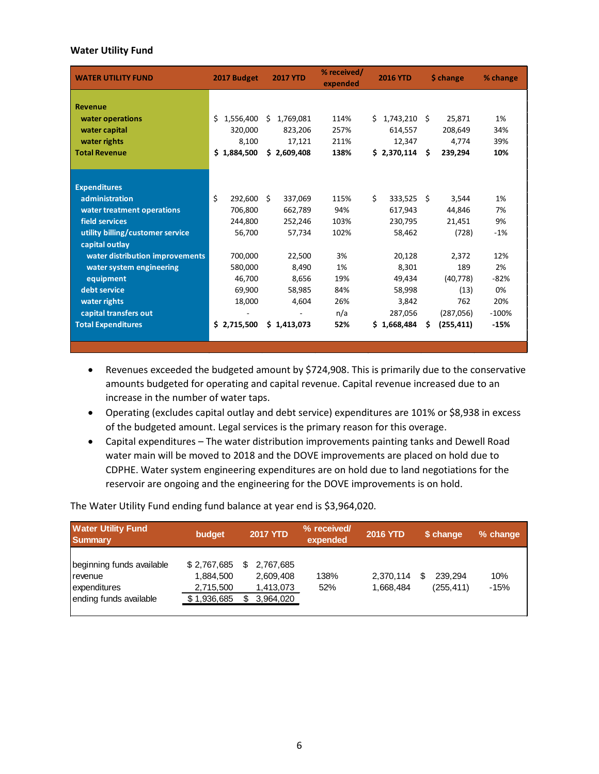#### **Water Utility Fund**

| <b>WATER UTILITY FUND</b>        | 2017 Budget     | <b>2017 YTD</b> | % received/<br>expended | <b>2016 YTD</b> | \$ change       | % change |
|----------------------------------|-----------------|-----------------|-------------------------|-----------------|-----------------|----------|
| <b>Revenue</b>                   |                 |                 |                         |                 |                 |          |
| water operations                 | Ś<br>1,556,400  | \$1,769,081     | 114%                    | \$1,743,210     | Ŝ.<br>25.871    | 1%       |
| water capital                    | 320,000         | 823,206         | 257%                    | 614,557         | 208,649         | 34%      |
| water rights                     | 8,100           | 17,121          | 211%                    | 12,347          | 4,774           | 39%      |
| <b>Total Revenue</b>             | Ś.<br>1.884.500 | \$2,609,408     | 138%                    | \$2,370,114     | 239.294<br>Ŝ.   | 10%      |
|                                  |                 |                 |                         |                 |                 |          |
|                                  |                 |                 |                         |                 |                 |          |
| <b>Expenditures</b>              |                 |                 |                         |                 |                 |          |
| administration                   | \$<br>292.600   | Ŝ.<br>337,069   | 115%                    | \$<br>333,525   | -Ś<br>3,544     | 1%       |
| water treatment operations       | 706,800         | 662,789         | 94%                     | 617,943         | 44,846          | 7%       |
| field services                   | 244,800         | 252,246         | 103%                    | 230,795         | 21,451          | 9%       |
| utility billing/customer service | 56,700          | 57,734          | 102%                    | 58,462          | (728)           | $-1%$    |
| capital outlay                   |                 |                 |                         |                 |                 |          |
| water distribution improvements  | 700,000         | 22,500          | 3%                      | 20,128          | 2,372           | 12%      |
| water system engineering         | 580,000         | 8,490           | 1%                      | 8,301           | 189             | 2%       |
| equipment                        | 46,700          | 8,656           | 19%                     | 49,434          | (40, 778)       | $-82%$   |
| debt service                     | 69,900          | 58,985          | 84%                     | 58,998          | (13)            | 0%       |
| water rights                     | 18,000          | 4,604           | 26%                     | 3,842           | 762             | 20%      |
| capital transfers out            |                 |                 | n/a                     | 287,056         | (287,056)       | $-100%$  |
| <b>Total Expenditures</b>        | \$2,715,500     | \$1,413,073     | 52%                     | \$1,668,484     | (255, 411)<br>S | $-15%$   |
|                                  |                 |                 |                         |                 |                 |          |

- Revenues exceeded the budgeted amount by \$724,908. This is primarily due to the conservative amounts budgeted for operating and capital revenue. Capital revenue increased due to an increase in the number of water taps.
- Operating (excludes capital outlay and debt service) expenditures are 101% or \$8,938 in excess of the budgeted amount. Legal services is the primary reason for this overage.
- Capital expenditures The water distribution improvements painting tanks and Dewell Road water main will be moved to 2018 and the DOVE improvements are placed on hold due to CDPHE. Water system engineering expenditures are on hold due to land negotiations for the reservoir are ongoing and the engineering for the DOVE improvements is on hold.

The Water Utility Fund ending fund balance at year end is \$3,964,020.

| <b>Water Utility Fund</b><br><b>Summary</b>                                    | budget                                               | <b>2017 YTD</b>                                  | % received/<br>expended | <b>2016 YTD</b>        | \$ change                  | % change      |
|--------------------------------------------------------------------------------|------------------------------------------------------|--------------------------------------------------|-------------------------|------------------------|----------------------------|---------------|
| beginning funds available<br>revenue<br>expenditures<br>ending funds available | \$2,767,685<br>1,884,500<br>2,715,500<br>\$1,936,685 | 2,767,685<br>2,609,408<br>1,413,073<br>3,964,020 | 138%<br>52%             | 2,370,114<br>1,668,484 | 239.294<br>S<br>(255, 411) | 10%<br>$-15%$ |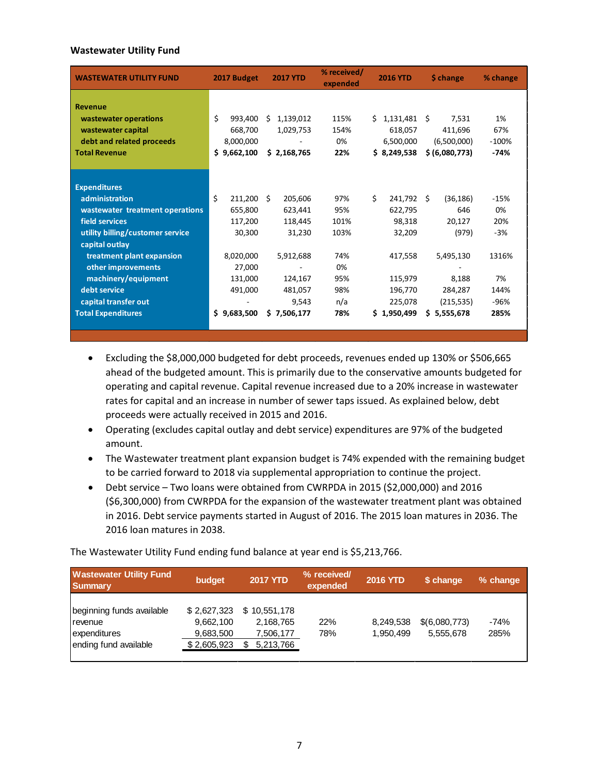## **Wastewater Utility Fund**

| <b>WASTEWATER UTILITY FUND</b>   | 2017 Budget    | <b>2017 YTD</b> | % received/<br>expended | <b>2016 YTD</b> | \$ change       | % change |
|----------------------------------|----------------|-----------------|-------------------------|-----------------|-----------------|----------|
| <b>Revenue</b>                   |                |                 |                         |                 |                 |          |
| wastewater operations            | \$<br>993.400  | 1,139,012<br>S  | 115%                    | Ś.<br>1,131,481 | Ŝ.<br>7,531     | 1%       |
| wastewater capital               | 668,700        | 1,029,753       | 154%                    | 618,057         | 411,696         | 67%      |
| debt and related proceeds        | 8,000,000      |                 | 0%                      | 6,500,000       | (6,500,000)     | $-100%$  |
| <b>Total Revenue</b>             | \$9,662,100    | \$2,168,765     | 22%                     | \$8,249,538     |                 | $-74%$   |
|                                  |                |                 |                         |                 | \$ (6,080,773)  |          |
|                                  |                |                 |                         |                 |                 |          |
| <b>Expenditures</b>              |                |                 |                         |                 |                 |          |
| administration                   | Ś.<br>211,200  | Ŝ.<br>205,606   | 97%                     | \$<br>241,792   | (36, 186)<br>Ŝ. | $-15%$   |
| wastewater treatment operations  | 655,800        | 623,441         | 95%                     | 622,795         | 646             | 0%       |
| field services                   | 117,200        | 118,445         | 101%                    | 98,318          | 20,127          | 20%      |
| utility billing/customer service | 30,300         | 31,230          | 103%                    | 32,209          | (979)           | $-3%$    |
| capital outlay                   |                |                 |                         |                 |                 |          |
| treatment plant expansion        | 8,020,000      | 5,912,688       | 74%                     | 417,558         | 5,495,130       | 1316%    |
| other improvements               | 27,000         |                 | 0%                      |                 |                 |          |
| machinery/equipment              | 131,000        | 124,167         | 95%                     | 115,979         | 8,188           | 7%       |
| debt service                     | 491,000        | 481,057         | 98%                     | 196,770         | 284,287         | 144%     |
| capital transfer out             |                | 9,543           | n/a                     | 225,078         | (215, 535)      | $-96%$   |
| <b>Total Expenditures</b>        | S<br>9,683,500 | \$7,506,177     | 78%                     | \$1,950,499     | \$5,555,678     | 285%     |
|                                  |                |                 |                         |                 |                 |          |

- Excluding the \$8,000,000 budgeted for debt proceeds, revenues ended up 130% or \$506,665 ahead of the budgeted amount. This is primarily due to the conservative amounts budgeted for operating and capital revenue. Capital revenue increased due to a 20% increase in wastewater rates for capital and an increase in number of sewer taps issued. As explained below, debt proceeds were actually received in 2015 and 2016.
- Operating (excludes capital outlay and debt service) expenditures are 97% of the budgeted amount.
- The Wastewater treatment plant expansion budget is 74% expended with the remaining budget to be carried forward to 2018 via supplemental appropriation to continue the project.
- Debt service Two loans were obtained from CWRPDA in 2015 (\$2,000,000) and 2016 (\$6,300,000) from CWRPDA for the expansion of the wastewater treatment plant was obtained in 2016. Debt service payments started in August of 2016. The 2015 loan matures in 2036. The 2016 loan matures in 2038.

The Wastewater Utility Fund ending fund balance at year end is \$5,213,766.

| <b>Wastewater Utility Fund</b><br><b>Summary</b>                                       | budget                                               | <b>2017 YTD</b>                                     | % received/<br>expended | <b>2016 YTD</b>        | \$ change                  | % change     |
|----------------------------------------------------------------------------------------|------------------------------------------------------|-----------------------------------------------------|-------------------------|------------------------|----------------------------|--------------|
| beginning funds available<br><b>I</b> revenue<br>expenditures<br>ending fund available | \$2,627,323<br>9,662,100<br>9,683,500<br>\$2,605,923 | \$10.551.178<br>2,168,765<br>7,506,177<br>5,213,766 | 22%<br>78%              | 8,249,538<br>1.950.499 | \$(6,080,773)<br>5.555.678 | -74%<br>285% |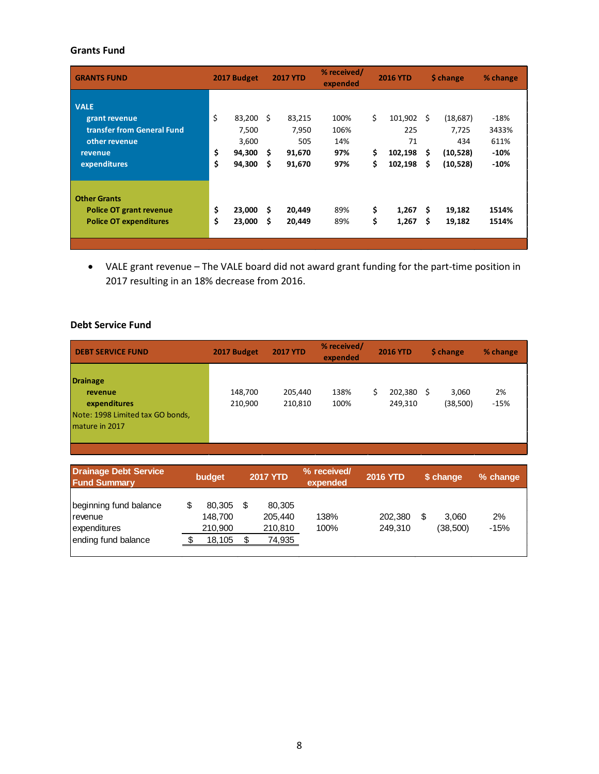# **Grants Fund**

| <b>GRANTS FUND</b>                                                                                     | 2017 Budget    |                                              | <b>2017 YTD</b> |                                            | % received/<br>expended           | <b>2016 YTD</b> |                                            | \$ change     |                                                   | % change                                    |
|--------------------------------------------------------------------------------------------------------|----------------|----------------------------------------------|-----------------|--------------------------------------------|-----------------------------------|-----------------|--------------------------------------------|---------------|---------------------------------------------------|---------------------------------------------|
| <b>VALE</b><br>grant revenue<br>transfer from General Fund<br>other revenue<br>revenue<br>expenditures | \$<br>\$<br>\$ | 83,200<br>7,500<br>3,600<br>94,300<br>94,300 | Ŝ.<br>\$.<br>\$ | 83,215<br>7,950<br>505<br>91,670<br>91,670 | 100%<br>106%<br>14%<br>97%<br>97% | \$<br>\$<br>\$  | 101,902<br>225<br>71<br>102,198<br>102,198 | Ŝ.<br>S<br>\$ | (18,687)<br>7,725<br>434<br>(10, 528)<br>(10,528) | $-18%$<br>3433%<br>611%<br>$-10%$<br>$-10%$ |
| <b>Other Grants</b><br><b>Police OT grant revenue</b><br><b>Police OT expenditures</b>                 | \$<br>\$       | 23,000<br>23,000                             | S<br>Ś          | 20,449<br>20,449                           | 89%<br>89%                        | \$<br>\$        | 1,267<br>1,267                             | S<br>S        | 19,182<br>19,182                                  | 1514%<br>1514%                              |

• VALE grant revenue – The VALE board did not award grant funding for the part-time position in 2017 resulting in an 18% decrease from 2016.

# **Debt Service Fund**

| <b>DEBT SERVICE FUND</b>                                                                   | 2017 Budget        | <b>2017 YTD</b>    | % received/<br>expended |    | <b>2016 YTD</b>    |   | \$ change         | % change     |
|--------------------------------------------------------------------------------------------|--------------------|--------------------|-------------------------|----|--------------------|---|-------------------|--------------|
| Drainage<br>revenue<br>expenditures<br>Note: 1998 Limited tax GO bonds,<br>Imature in 2017 | 148,700<br>210,900 | 205,440<br>210,810 | 138%<br>100%            | \$ | 202,380<br>249,310 | S | 3,060<br>(38,500) | 2%<br>$-15%$ |

| <b>Drainage Debt Service</b><br><b>Fund Summary</b>                               | budget                                 | <b>2017 YTD</b> |                                        | % received/<br>expended | <b>2016 YTD</b>    | \$ change               | % change     |
|-----------------------------------------------------------------------------------|----------------------------------------|-----------------|----------------------------------------|-------------------------|--------------------|-------------------------|--------------|
| beginning fund balance<br><b>I</b> revenue<br>expenditures<br>ending fund balance | 80.305<br>148.700<br>210,900<br>18,105 |                 | 80.305<br>205,440<br>210,810<br>74,935 | 138%<br>100%            | 202.380<br>249.310 | \$<br>3.060<br>(38,500) | 2%<br>$-15%$ |